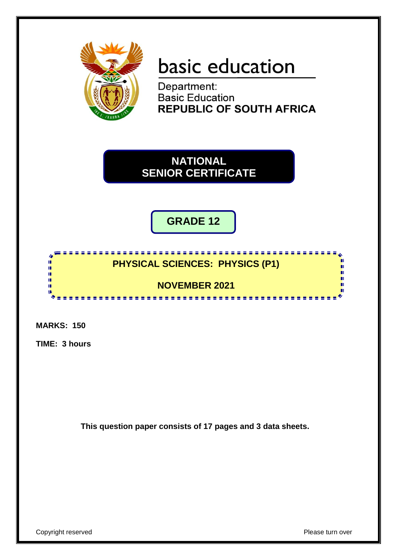

# basic education

Department: **Basic Education REPUBLIC OF SOUTH AFRICA** 

**NATIONAL SENIOR CERTIFICATE**

**GRADE 12**

# <u>,,,,,,,,,,,,,,,,,,,,,,,,</u> **PHYSICAL SCIENCES: PHYSICS (P1)**

**NOVEMBER 2021**

....................

**MARKS: 150**

h ú î, ú T.

**TIME: 3 hours**

**This question paper consists of 17 pages and 3 data sheets.**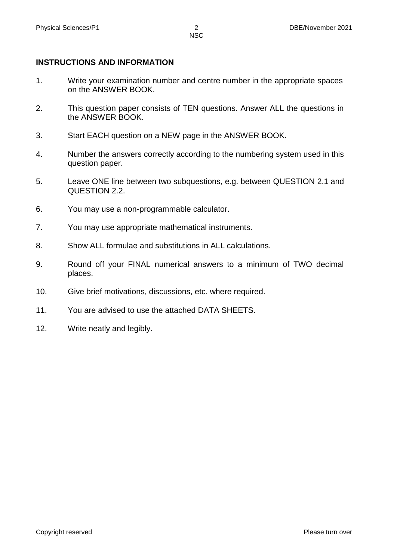### **INSTRUCTIONS AND INFORMATION**

- 1. Write your examination number and centre number in the appropriate spaces on the ANSWER BOOK.
- 2. This question paper consists of TEN questions. Answer ALL the questions in the ANSWER BOOK.
- 3. Start EACH question on a NEW page in the ANSWER BOOK.
- 4. Number the answers correctly according to the numbering system used in this question paper.
- 5. Leave ONE line between two subquestions, e.g. between QUESTION 2.1 and QUESTION 2.2.
- 6. You may use a non-programmable calculator.
- 7. You may use appropriate mathematical instruments.
- 8. Show ALL formulae and substitutions in ALL calculations.
- 9. Round off your FINAL numerical answers to a minimum of TWO decimal places.
- 10. Give brief motivations, discussions, etc. where required.
- 11. You are advised to use the attached DATA SHEETS.
- 12. Write neatly and legibly.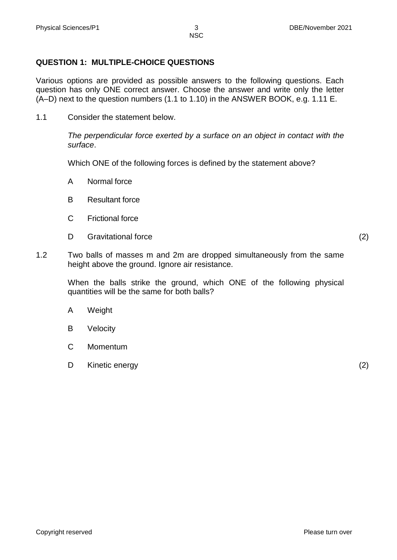# **QUESTION 1: MULTIPLE-CHOICE QUESTIONS**

Various options are provided as possible answers to the following questions. Each question has only ONE correct answer. Choose the answer and write only the letter (A–D) next to the question numbers (1.1 to 1.10) in the ANSWER BOOK, e.g. 1.11 E.

1.1 Consider the statement below.

*The perpendicular force exerted by a surface on an object in contact with the surface*.

Which ONE of the following forces is defined by the statement above?

- A Normal force
- B Resultant force
- $\mathcal{C}$ Frictional force
- D Gravitational force (2)

1.2 Two balls of masses m and 2m are dropped simultaneously from the same height above the ground. Ignore air resistance.

> When the balls strike the ground, which ONE of the following physical quantities will be the same for both balls?

- A **Weight**
- B Velocity
- $\mathcal{C}$ Momentum
- D Kinetic energy (2) (2)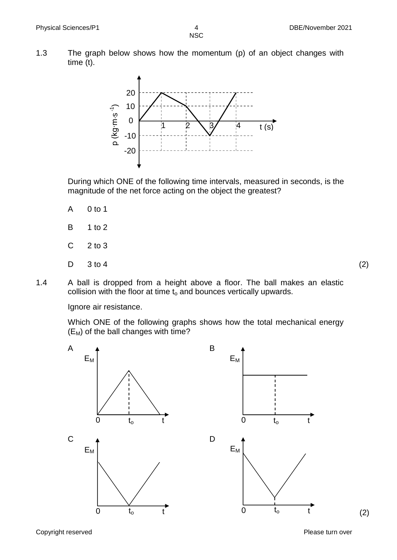1.3 The graph below shows how the momentum (p) of an object changes with time (t).



During which ONE of the following time intervals, measured in seconds, is the magnitude of the net force acting on the object the greatest?

- A 0 to 1
- B 1 to 2
- C 2 to 3
- D  $3 \text{ to } 4$  (2)

1.4 A ball is dropped from a height above a floor. The ball makes an elastic collision with the floor at time  $t_0$  and bounces vertically upwards.

Ignore air resistance.

Which ONE of the following graphs shows how the total mechanical energy  $(E_M)$  of the ball changes with time?



Copyright reserved **Please turn over the Copyright reserved** Please turn over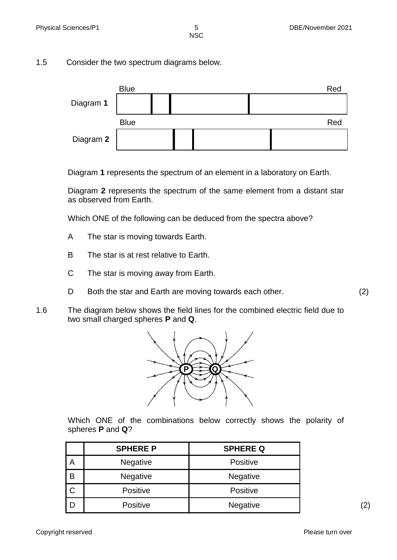1.5 Consider the two spectrum diagrams below.



Diagram **1** represents the spectrum of an element in a laboratory on Earth.

Diagram **2** represents the spectrum of the same element from a distant star as observed from Earth.

Which ONE of the following can be deduced from the spectra above?

- A The star is moving towards Earth.
- B The star is at rest relative to Earth.
- C The star is moving away from Earth.
- D Both the star and Earth are moving towards each other. (2)
- 1.6 The diagram below shows the field lines for the combined electric field due to two small charged spheres **P** and **Q**.



Which ONE of the combinations below correctly shows the polarity of spheres **P** and **Q**?

|              | <b>SPHERE P</b> | <b>SPHERE Q</b> |
|--------------|-----------------|-----------------|
| A            | <b>Negative</b> | <b>Positive</b> |
| B            | <b>Negative</b> | <b>Negative</b> |
| $\mathsf{C}$ | <b>Positive</b> | <b>Positive</b> |
| D            | Positive        | <b>Negative</b> |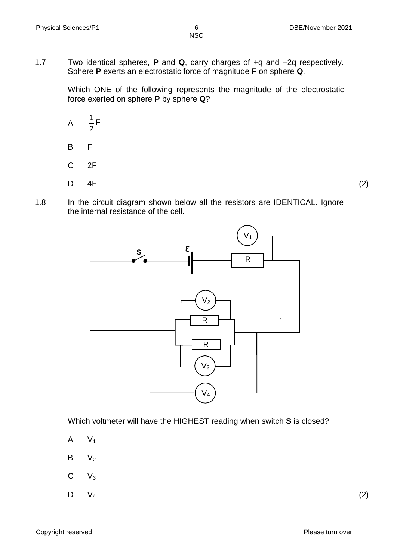1.7 Two identical spheres, **P** and **Q**, carry charges of +q and –2q respectively. Sphere **P** exerts an electrostatic force of magnitude F on sphere **Q**.

> Which ONE of the following represents the magnitude of the electrostatic force exerted on sphere **P** by sphere **Q**?

- A B 2  $\frac{1}{5}$ F F
- C 2F
- 

D

 $4F$  (2)

1.8 In the circuit diagram shown below all the resistors are IDENTICAL. Ignore the internal resistance of the cell.



Which voltmeter will have the HIGHEST reading when switch **S** is closed?

- A  $V<sub>1</sub>$
- B  $V<sub>2</sub>$
- C  $V_3$
- D  $V_4$  (2)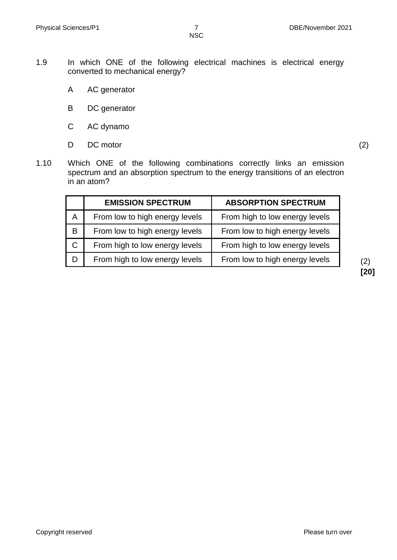- 1.9 In which ONE of the following electrical machines is electrical energy converted to mechanical energy?
	- A AC generator
	- B DC generator
	- C AC dynamo
	- D DC motor (2)

1.10 Which ONE of the following combinations correctly links an emission spectrum and an absorption spectrum to the energy transitions of an electron in an atom?

|              | <b>EMISSION SPECTRUM</b>       | <b>ABSORPTION SPECTRUM</b>     |
|--------------|--------------------------------|--------------------------------|
| A            | From low to high energy levels | From high to low energy levels |
| B            | From low to high energy levels | From low to high energy levels |
| $\mathsf{C}$ | From high to low energy levels | From high to low energy levels |
| D            | From high to low energy levels | From low to high energy levels |

**[20]**

Copyright reserved **Please** turn over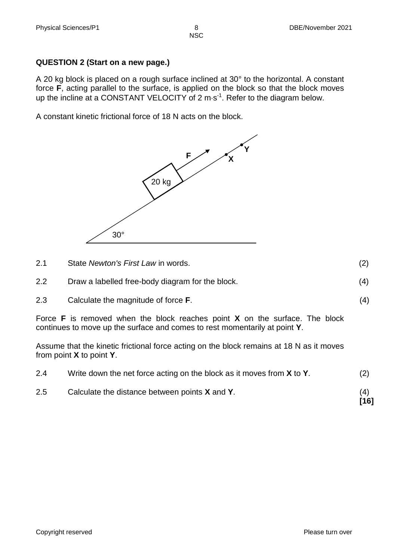**QUESTION 2 (Start on a new page.)**

A 20 kg block is placed on a rough surface inclined at 30° to the horizontal. A constant force **F**, acting parallel to the surface, is applied on the block so that the block moves up the incline at a CONSTANT VELOCITY of 2 m $\cdot$ s<sup>-1</sup>. Refer to the diagram below.

A constant kinetic frictional force of 18 N acts on the block.



| 2.1 | State Newton's First Law in words.               |     |
|-----|--------------------------------------------------|-----|
| 2.2 | Draw a labelled free-body diagram for the block. | (4) |
| 2.3 | Calculate the magnitude of force <b>F</b> .      | (4) |

Force **F** is removed when the block reaches point **X** on the surface. The block continues to move up the surface and comes to rest momentarily at point **Y**.

Assume that the kinetic frictional force acting on the block remains at 18 N as it moves from point **X** to point **Y**.

| 2.5 | Calculate the distance between points <b>X</b> and <b>Y</b> .                        | (4)<br>$[16]$ |
|-----|--------------------------------------------------------------------------------------|---------------|
| 2.4 | Write down the net force acting on the block as it moves from <b>X</b> to <b>Y</b> . | (2)           |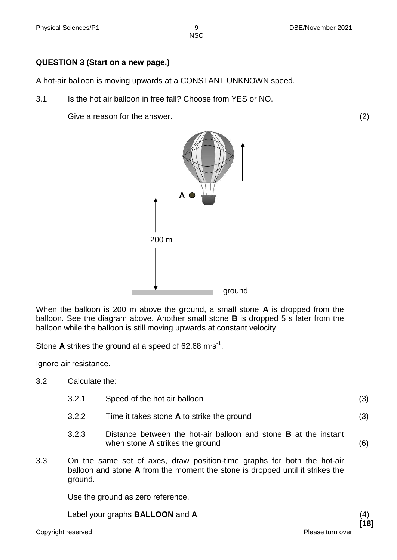### **QUESTION 3 (Start on a new page.)**

A hot-air balloon is moving upwards at a CONSTANT UNKNOWN speed.

3.1 Is the hot air balloon in free fall? Choose from YES or NO.

Give a reason for the answer. (2)



When the balloon is 200 m above the ground, a small stone **A** is dropped from the balloon. See the diagram above. Another small stone **B** is dropped 5 s later from the balloon while the balloon is still moving upwards at constant velocity.

Stone A strikes the ground at a speed of 62,68 m⋅s<sup>-1</sup>.

Ignore air resistance.

- 3.2 Calculate the:
	- 3.2.1 Speed of the hot air balloon (3)
	- 3.2.2 Time it takes stone **A** to strike the ground (3)
	- 3.2.3 Distance between the hot-air balloon and stone **B** at the instant when stone **A** strikes the ground (6)
- 3.3 On the same set of axes, draw position-time graphs for both the hot-air balloon and stone **A** from the moment the stone is dropped until it strikes the ground.

Use the ground as zero reference.

Label your graphs **BALLOON** and **A**. (4)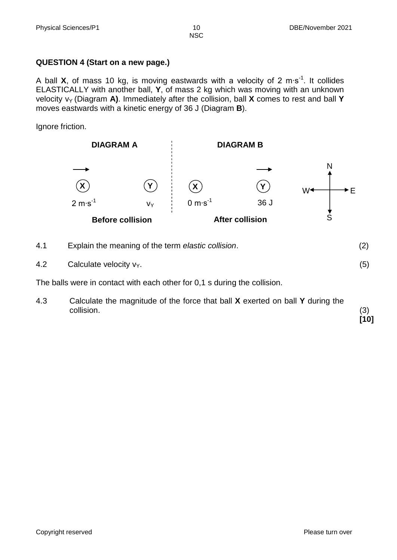### **QUESTION 4 (Start on a new page.)**

A ball X, of mass 10 kg, is moving eastwards with a velocity of 2 m⋅s<sup>-1</sup>. It collides ELASTICALLY with another ball, **Y**, of mass 2 kg which was moving with an unknown velocity  $v_Y$  (Diagram A). Immediately after the collision, ball X comes to rest and ball Y moves eastwards with a kinetic energy of 36 J (Diagram **B**).

Ignore friction.



4.1 Explain the meaning of the term *elastic collision*. (2) 4.2 Calculate velocity  $v_Y$ . (5)

The balls were in contact with each other for 0,1 s during the collision.

4.3 Calculate the magnitude of the force that ball **X** exerted on ball **Y** during the collision. (3) **[10]**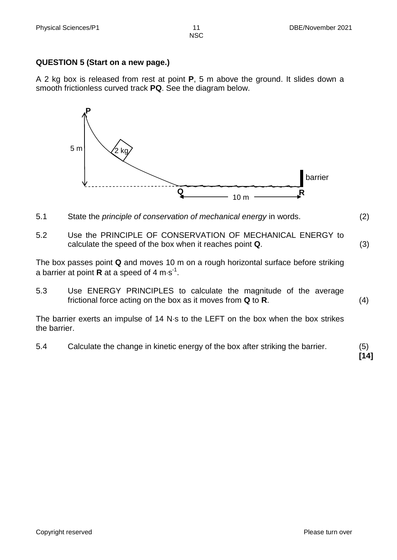### **QUESTION 5 (Start on a new page.)**

A 2 kg box is released from rest at point **P**, 5 m above the ground. It slides down a smooth frictionless curved track **PQ**. See the diagram below.



- 5.1 State the *principle of conservation of mechanical energy* in words. (2)
- 5.2 Use the PRINCIPLE OF CONSERVATION OF MECHANICAL ENERGY to calculate the speed of the box when it reaches point **Q**. (3)

The box passes point **Q** and moves 10 m on a rough horizontal surface before striking a barrier at point **R** at a speed of 4 m $\cdot$ s<sup>-1</sup>.

5.3 Use ENERGY PRINCIPLES to calculate the magnitude of the average frictional force acting on the box as it moves from **Q** to **R**. (4)

The barrier exerts an impulse of 14 N s to the LEFT on the box when the box strikes the barrier.

5.4 Calculate the change in kinetic energy of the box after striking the barrier. (5)

**[14]**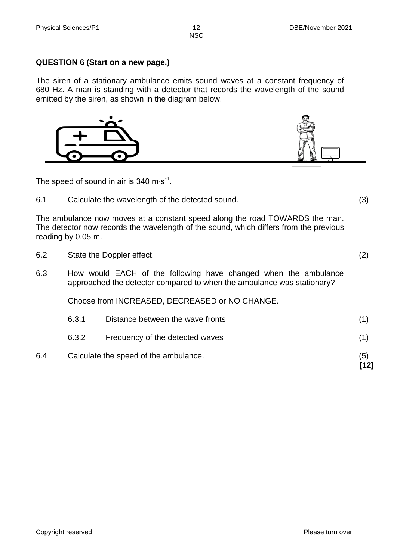### **QUESTION 6 (Start on a new page.)**

The siren of a stationary ambulance emits sound waves at a constant frequency of 680 Hz. A man is standing with a detector that records the wavelength of the sound emitted by the siren, as shown in the diagram below.



The speed of sound in air is 340 m⋅s<sup>-1</sup>.

6.1 Calculate the wavelength of the detected sound. (3)

The ambulance now moves at a constant speed along the road TOWARDS the man. The detector now records the wavelength of the sound, which differs from the previous reading by 0,05 m.

- 6.2 State the Doppler effect. (2)
- 6.3 How would EACH of the following have changed when the ambulance approached the detector compared to when the ambulance was stationary?

Choose from INCREASED, DECREASED or NO CHANGE.

| 6.4 |       | Calculate the speed of the ambulance. | (5)<br>[12] |
|-----|-------|---------------------------------------|-------------|
|     | 6.3.2 | Frequency of the detected waves       | (1)         |
|     | 6.3.1 | Distance between the wave fronts      |             |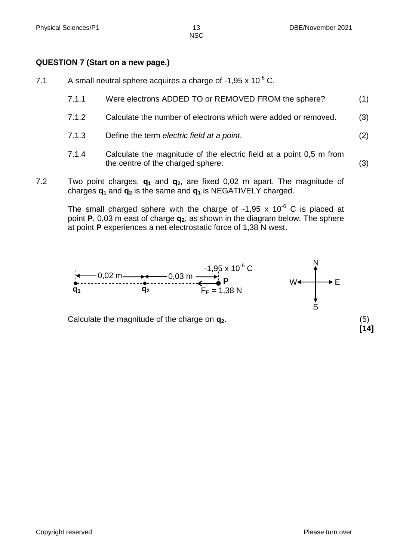### **QUESTION 7 (Start on a new page.)**

- 7.1 A small neutral sphere acquires a charge of -1,95 x  $10^{-6}$  C.
	- 7.1.1 Were electrons ADDED TO or REMOVED FROM the sphere? (1)
	- 7.1.2 Calculate the number of electrons which were added or removed. (3)
	- 7.1.3 Define the term *electric field at a point*. (2)
	- 7.1.4 Calculate the magnitude of the electric field at a point 0,5 m from the centre of the charged sphere. (3)
- 7.2 Two point charges, **q<sup>1</sup>** and **q2**, are fixed 0,02 m apart. The magnitude of charges **q<sup>1</sup>** and **q<sup>2</sup>** is the same and **q<sup>1</sup>** is NEGATIVELY charged.

The small charged sphere with the charge of -1,95 x  $10^{-6}$  C is placed at point **P**, 0,03 m east of charge **q2**, as shown in the diagram below. The sphere at point **P** experiences a net electrostatic force of 1,38 N west.



Calculate the magnitude of the charge on **q2**. (5)

**[14]**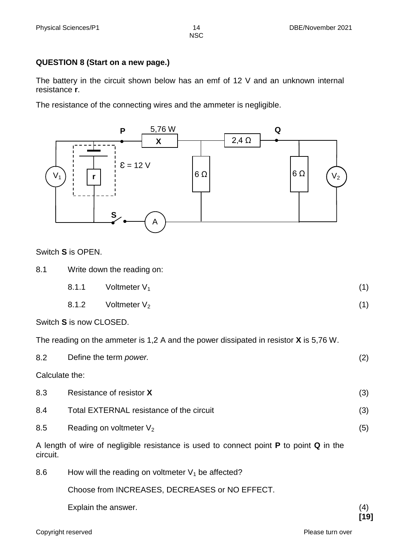### **QUESTION 8 (Start on a new page.)**

The battery in the circuit shown below has an emf of 12 V and an unknown internal resistance **r**.

The resistance of the connecting wires and the ammeter is negligible.



Switch **S** is OPEN.

| 8.1 | Write down the reading on: |                 |  |
|-----|----------------------------|-----------------|--|
|     | 8.1.1                      | Voltmeter $V_1$ |  |

8.1.2 Voltmeter  $V_2$  (1)

Switch **S** is now CLOSED.

The reading on the ammeter is 1,2 A and the power dissipated in resistor **X** is 5,76 W.

| 8.2                                                                                                              | Define the term <i>power</i> .                       | (2) |  |
|------------------------------------------------------------------------------------------------------------------|------------------------------------------------------|-----|--|
| Calculate the:                                                                                                   |                                                      |     |  |
| 8.3                                                                                                              | Resistance of resistor X                             | (3) |  |
| 8.4                                                                                                              | Total EXTERNAL resistance of the circuit             | (3) |  |
| 8.5                                                                                                              | Reading on voltmeter $V_2$                           | (5) |  |
| A length of wire of negligible resistance is used to connect point <b>P</b> to point <b>Q</b> in the<br>circuit. |                                                      |     |  |
| 8.6                                                                                                              | How will the reading on voltmeter $V_1$ be affected? |     |  |
|                                                                                                                  | Choose from INCREASES, DECREASES or NO EFFECT.       |     |  |

Explain the answer. (4)

**[19]**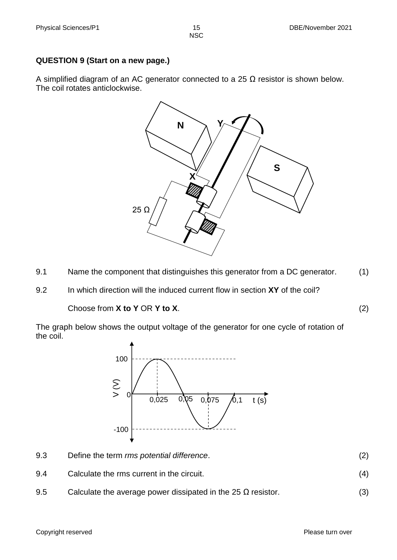**QUESTION 9 (Start on a new page.)**

A simplified diagram of an AC generator connected to a 25  $\Omega$  resistor is shown below. The coil rotates anticlockwise.



- 9.1 Name the component that distinguishes this generator from a DC generator. (1)
- 9.2 In which direction will the induced current flow in section **XY** of the coil?

Choose from **X to Y** OR **Y to X**. (2)

The graph below shows the output voltage of the generator for one cycle of rotation of the coil.



- 9.3 Define the term *rms potential difference*. (2)
- 9.4 Calculate the rms current in the circuit. (4)
- 9.5 Calculate the average power dissipated in the 25  $\Omega$  resistor. (3)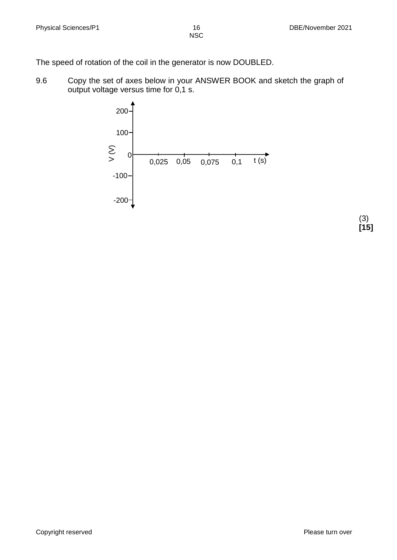The speed of rotation of the coil in the generator is now DOUBLED.

9.6 Copy the set of axes below in your ANSWER BOOK and sketch the graph of output voltage versus time for 0,1 s.



(3) **[15]**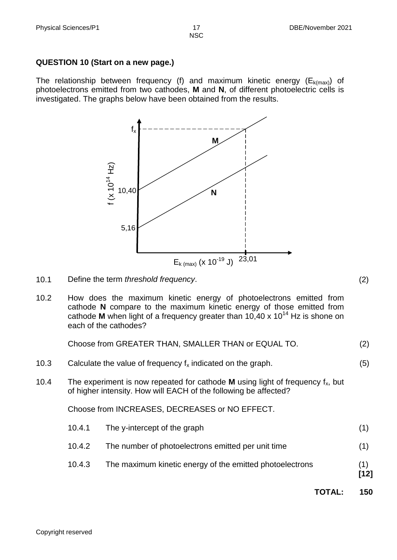### **QUESTION 10 (Start on a new page.)**

The relationship between frequency (f) and maximum kinetic energy  $(E_{k(max)})$  of photoelectrons emitted from two cathodes, **M** and **N**, of different photoelectric cells is investigated. The graphs below have been obtained from the results.



- 10.1 Define the term *threshold frequency*. (2)
- 10.2 How does the maximum kinetic energy of photoelectrons emitted from cathode **N** compare to the maximum kinetic energy of those emitted from cathode **M** when light of a frequency greater than  $10,40 \times 10^{14}$  Hz is shone on each of the cathodes?

Choose from GREATER THAN, SMALLER THAN or EQUAL TO. (2)

- 10.3 Calculate the value of frequency  $f_x$  indicated on the graph.  $(5)$
- 10.4 The experiment is now repeated for cathode **M** using light of frequency  $f_x$ , but of higher intensity. How will EACH of the following be affected?

Choose from INCREASES, DECREASES or NO EFFECT.

| 10.4.3           | The maximum kinetic energy of the emitted photoelectrons                           | (1) |
|------------------|------------------------------------------------------------------------------------|-----|
| 10.4.1<br>10.4.2 | The y-intercept of the graph<br>The number of photoelectrons emitted per unit time | (1) |

**TOTAL: 150**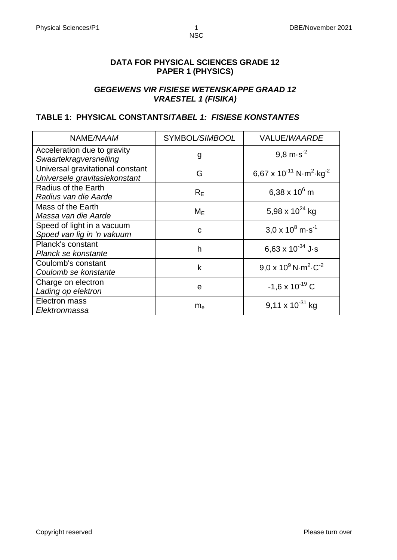### **DATA FOR PHYSICAL SCIENCES GRADE 12 PAPER 1 (PHYSICS)**

### *GEGEWENS VIR FISIESE WETENSKAPPE GRAAD 12 VRAESTEL 1 (FISIKA)*

### **TABLE 1: PHYSICAL CONSTANTS/***TABEL 1: FISIESE KONSTANTES*

| NAME/NAAM                                                         | SYMBOL/SIMBOOL | VALUE/WAARDE                                                       |
|-------------------------------------------------------------------|----------------|--------------------------------------------------------------------|
| Acceleration due to gravity<br>Swaartekragversnelling             | g              | 9.8 $m·s-2$                                                        |
| Universal gravitational constant<br>Universele gravitasiekonstant | G              | 6,67 x 10 <sup>-11</sup> N·m <sup>2</sup> ·kg <sup>-2</sup>        |
| Radius of the Earth<br>Radius van die Aarde                       | $R_F$          | 6,38 x $10^6$ m                                                    |
| Mass of the Earth<br>Massa van die Aarde                          | $M_E$          | 5,98 x $10^{24}$ kg                                                |
| Speed of light in a vacuum<br>Spoed van lig in 'n vakuum          | C              | $3.0 \times 10^8$ m s <sup>-1</sup>                                |
| Planck's constant<br>Planck se konstante                          | h              | 6,63 x $10^{-34}$ J·s                                              |
| Coulomb's constant<br>Coulomb se konstante                        | k              | $9.0 \times 10^9$ N $\cdot$ m <sup>2</sup> $\cdot$ C <sup>-2</sup> |
| Charge on electron<br>Lading op elektron                          | e              | $-1.6 \times 10^{-19}$ C                                           |
| Electron mass<br>Elektronmassa                                    | $m_e$          | $9,11 \times 10^{-31}$ kg                                          |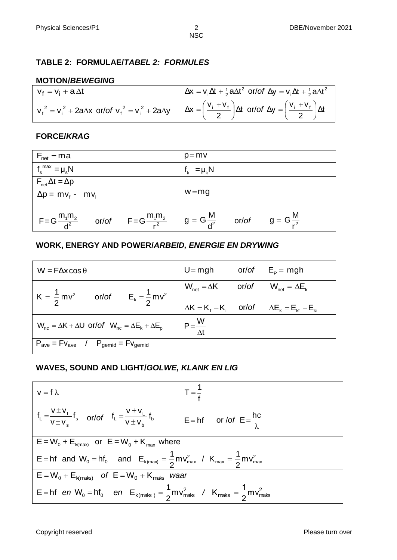### **TABLE 2: FORMULAE/***TABEL 2: FORMULES*

### **MOTION/***BEWEGING*

| $V_f = V_i + a \Delta t$ | $\Delta x = v_i \Delta t + \frac{1}{2} a \Delta t^2$ or/of $\Delta y = v_i \Delta t + \frac{1}{2} a \Delta t^2$                                                                   |
|--------------------------|-----------------------------------------------------------------------------------------------------------------------------------------------------------------------------------|
|                          | $v_f^2 = v_i^2 + 2a\Delta x$ or/of $v_f^2 = v_i^2 + 2a\Delta y$ $\Delta x = \left(\frac{v_i + v_f}{2}\right)\Delta t$ or/of $\Delta y = \left(\frac{v_i + v_f}{2}\right)\Delta t$ |

# **FORCE/***KRAG*

| $F_{\text{net}} = ma$                                         | $p = mv$                                          |
|---------------------------------------------------------------|---------------------------------------------------|
| $f_s^{\text{max}} = \mu_s N$                                  | $f_k = \mu_k N$                                   |
| $F_{\text{net}}\Delta t = \Delta p$                           |                                                   |
| $\Delta p = m v_f - m v_i$                                    | $w = mg$                                          |
|                                                               |                                                   |
| $F = G \frac{m_1 m_2}{d^2}$ or/of $F = G \frac{m_1 m_2}{r^2}$ | $g = G \frac{M}{d^2}$ or/of $g = G \frac{M}{r^2}$ |

### **WORK, ENERGY AND POWER/***ARBEID, ENERGIE EN DRYWING*

| $W = F\Delta x \cos \theta$                                                 | $U = mgh$ or/of $E_p = mgh$                                     |                                                             |
|-----------------------------------------------------------------------------|-----------------------------------------------------------------|-------------------------------------------------------------|
| $K = \frac{1}{2}mv^2$ or/of $E_k = \frac{1}{2}mv^2$                         | $W_{\text{net}} = \Delta K$ or/of $W_{\text{net}} = \Delta E_k$ |                                                             |
|                                                                             |                                                                 | $\Delta K = K_f - K_i$ or/of $\Delta E_k = E_{kt} - E_{ki}$ |
| $W_{nc} = \Delta K + \Delta U$ or/of $W_{nc} = \Delta E_k + \Delta E_p$     | $P = \frac{W}{\Delta t}$                                        |                                                             |
| $P_{\text{ave}} = Fv_{\text{ave}}$ / $P_{\text{gemid}} = Fv_{\text{gemid}}$ |                                                                 |                                                             |

# **WAVES, SOUND AND LIGHT/***GOLWE, KLANK EN LIG*

| $v = f \lambda$                                                                                                                      | $T = \frac{1}{4}$ |  |  |  |
|--------------------------------------------------------------------------------------------------------------------------------------|-------------------|--|--|--|
| $f_L = \frac{v \pm v_L}{v \pm v_s} f_s$ or/of $f_L = \frac{v \pm v_L}{v \pm v_b} f_b$ $\Bigg  E = hf$ or/of $E = \frac{hc}{\lambda}$ |                   |  |  |  |
| $E = W_0 + E_{k(max)}$ or $E = W_0 + K_{max}$ where                                                                                  |                   |  |  |  |
| E = hf and $W_0 = hf_0$ and $E_{k(max)} = \frac{1}{2}mv_{max}^2 / K_{max} = \frac{1}{2}mv_{max}^2$                                   |                   |  |  |  |
| $E = W_0 + E_{Kmals}$ of $E = W_0 + K_{mals}$ waar                                                                                   |                   |  |  |  |
| $E = hf$ en $W_0 = hf_0$ en $E_{k(maks)} = \frac{1}{2}mv_{maks}^2$ / $K_{maks} = \frac{1}{2}mv_{maks}^2$                             |                   |  |  |  |

Copyright reserved **Please** turn over